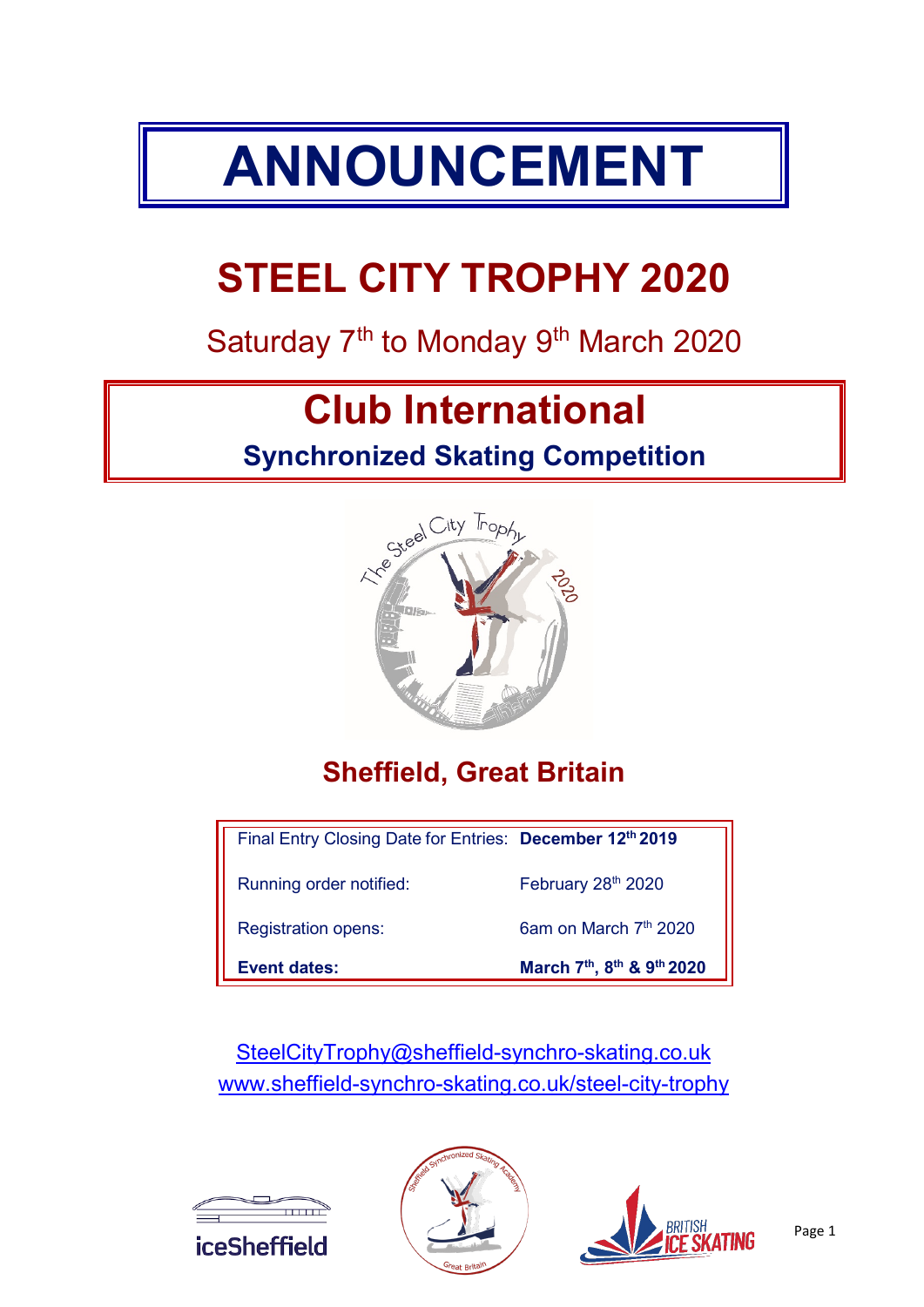# **ANNOUNCEMENT**

## **STEEL CITY TROPHY 2020**

## Saturday 7<sup>th</sup> to Monday 9<sup>th</sup> March 2020

## **Club International**

## **Synchronized Skating Competition**



## **Sheffield, Great Britain**

| Final Entry Closing Date for Entries: December 12th 2019 |                                   |
|----------------------------------------------------------|-----------------------------------|
| Running order notified:                                  | February 28th 2020                |
| <b>Registration opens:</b>                               | 6am on March 7 <sup>th</sup> 2020 |
| Event dates:                                             | March 7th, 8th & 9th 2020         |

[SteelCityTrophy@sheffield-synchro-skating.co.uk](mailto:SteelCityTrophy@sheffield-synchro-skating.co.uk) [www.sheffield-synchro-skating.co.uk/](http://www.sheffield-synchro-skating.co.uk/)steel-city-trophy





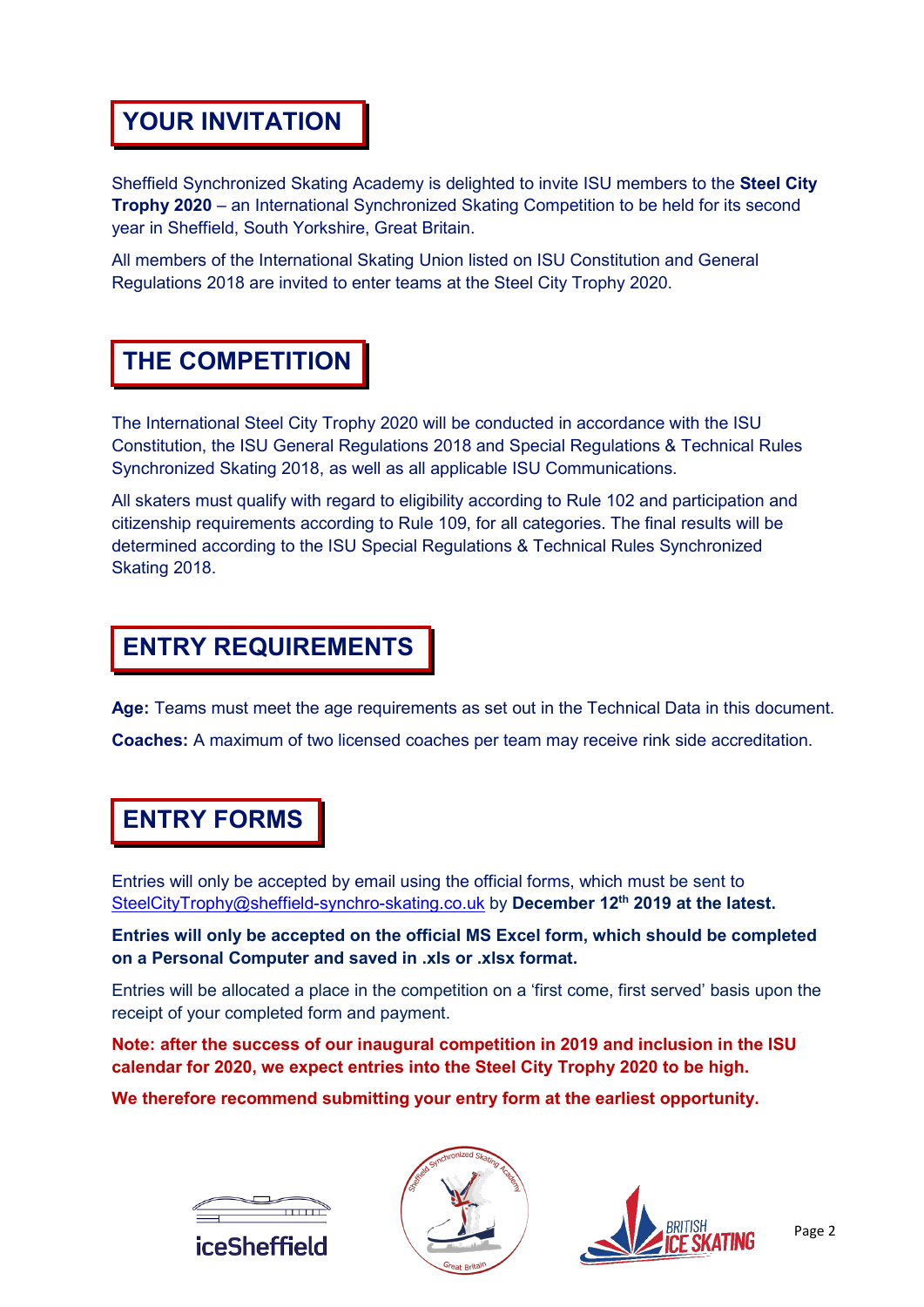#### **YOUR INVITATION**

Sheffield Synchronized Skating Academy is delighted to invite ISU members to the **Steel City Trophy 2020** – an International Synchronized Skating Competition to be held for its second year in Sheffield, South Yorkshire, Great Britain.

All members of the International Skating Union listed on ISU Constitution and General Regulations 2018 are invited to enter teams at the Steel City Trophy 2020.

#### **THE COMPETITION**

The International Steel City Trophy 2020 will be conducted in accordance with the ISU Constitution, the ISU General Regulations 2018 and Special Regulations & Technical Rules Synchronized Skating 2018, as well as all applicable ISU Communications.

All skaters must qualify with regard to eligibility according to Rule 102 and participation and citizenship requirements according to Rule 109, for all categories. The final results will be determined according to the ISU Special Regulations & Technical Rules Synchronized Skating 2018.

#### **ENTRY REQUIREMENTS**

**Age:** Teams must meet the age requirements as set out in the Technical Data in this document. **Coaches:** A maximum of two licensed coaches per team may receive rink side accreditation.

#### **ENTRY FORMS**

Entries will only be accepted by email using the official forms, which must be sent to [SteelCityTrophy@sheffield-synchro-skating.co.uk](mailto:SteelCityTrophy@sheffield-synchro-skating.co.uk) by **December 12th 2019 at the latest.** 

**Entries will only be accepted on the official MS Excel form, which should be completed on a Personal Computer and saved in .xls or .xlsx format.**

Entries will be allocated a place in the competition on a 'first come, first served' basis upon the receipt of your completed form and payment.

**Note: after the success of our inaugural competition in 2019 and inclusion in the ISU calendar for 2020, we expect entries into the Steel City Trophy 2020 to be high.** 

**We therefore recommend submitting your entry form at the earliest opportunity.**





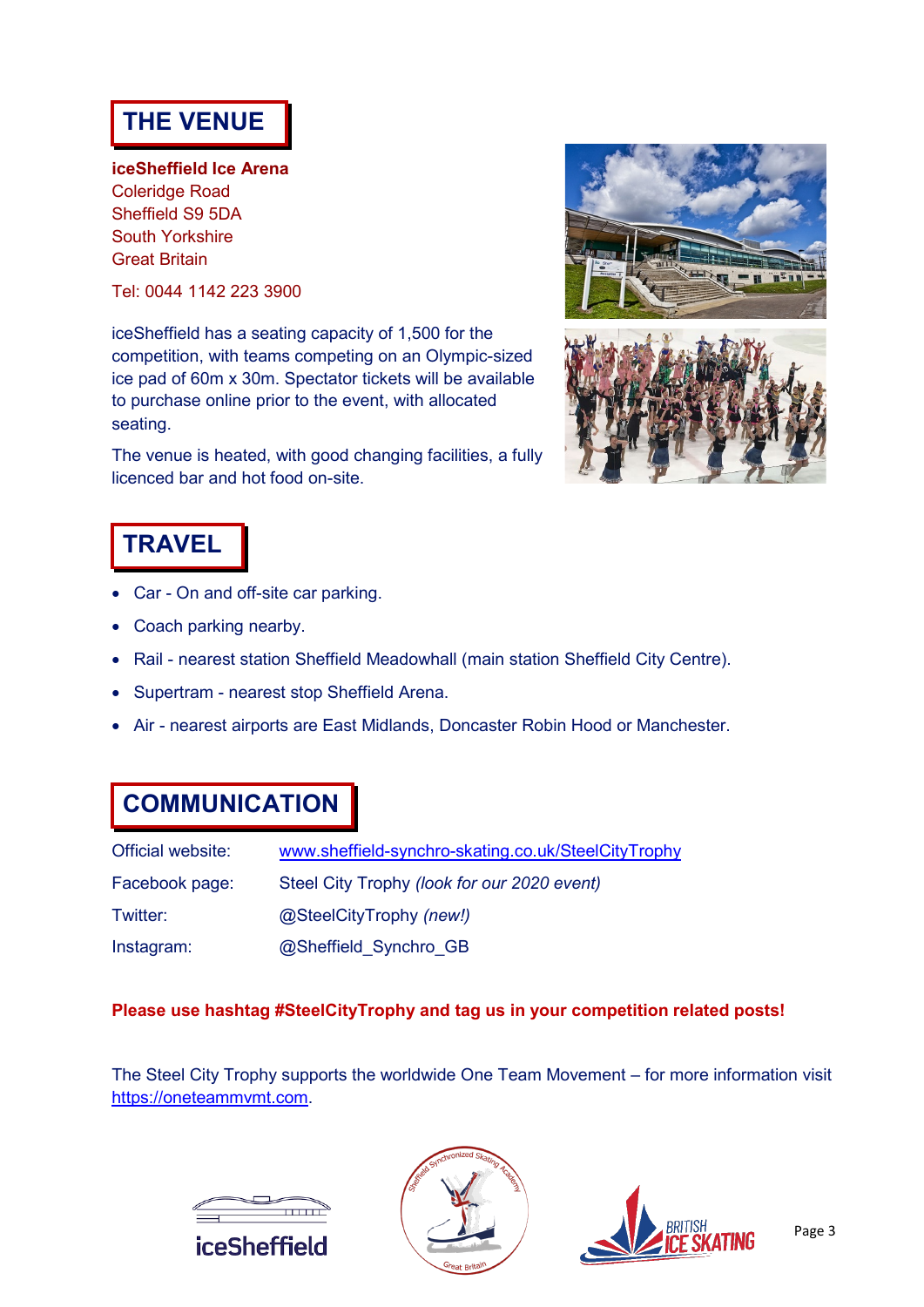#### **THE VENUE**

**iceSheffield Ice Arena** Coleridge Road Sheffield S9 5DA South Yorkshire Great Britain

Tel: 0044 1142 223 3900

iceSheffield has a seating capacity of 1,500 for the competition, with teams competing on an Olympic-sized ice pad of 60m x 30m. Spectator tickets will be available to purchase online prior to the event, with allocated seating.

The venue is heated, with good changing facilities, a fully licenced bar and hot food on-site.





#### **TRAVEL**

- Car On and off-site car parking.
- Coach parking nearby.
- Rail nearest station Sheffield Meadowhall (main station Sheffield City Centre).
- Supertram nearest stop Sheffield Arena.
- Air nearest airports are East Midlands, Doncaster Robin Hood or Manchester.

#### **COMMUNICATION**

| Official website: | www.sheffield-synchro-skating.co.uk/SteelCityTrophy |
|-------------------|-----------------------------------------------------|
| Facebook page:    | Steel City Trophy (look for our 2020 event)         |
| Twitter:          | @SteelCityTrophy (new!)                             |
| Instagram:        | @Sheffield Synchro GB                               |

#### **Please use hashtag #SteelCityTrophy and tag us in your competition related posts!**

The Steel City Trophy supports the worldwide One Team Movement – for more information visit [https://oneteammvmt.com.](https://oneteammvmt.com/)





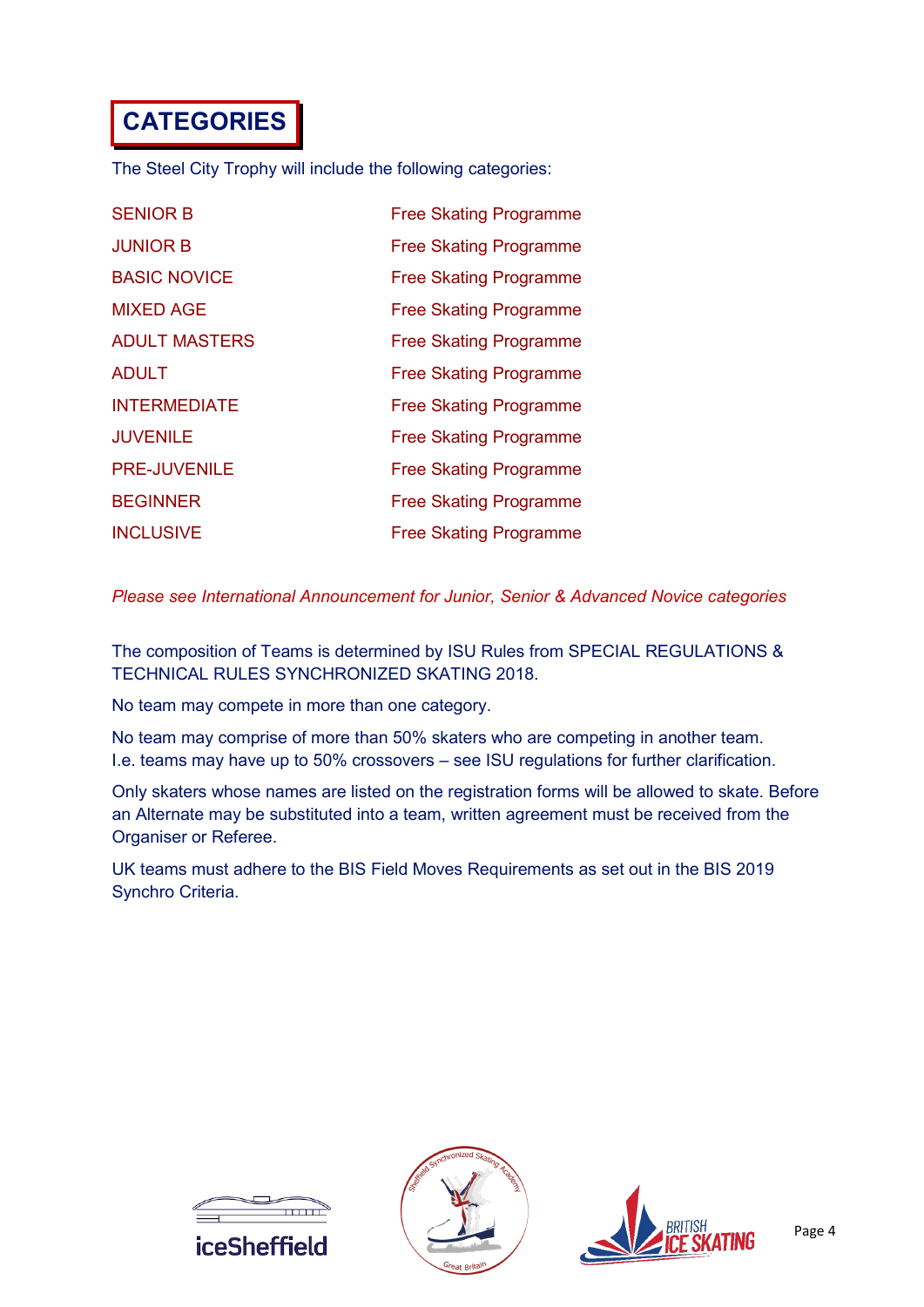## **CATEGORIES**

The Steel City Trophy will include the following categories:

| <b>SENIOR B</b>      | <b>Free Skating Programme</b> |
|----------------------|-------------------------------|
| <b>JUNIOR B</b>      | <b>Free Skating Programme</b> |
| <b>BASIC NOVICE</b>  | <b>Free Skating Programme</b> |
| <b>MIXED AGE</b>     | <b>Free Skating Programme</b> |
| <b>ADULT MASTERS</b> | <b>Free Skating Programme</b> |
| <b>ADULT</b>         | <b>Free Skating Programme</b> |
| <b>INTERMEDIATE</b>  | <b>Free Skating Programme</b> |
| <b>JUVENILE</b>      | <b>Free Skating Programme</b> |
| <b>PRE-JUVENILE</b>  | <b>Free Skating Programme</b> |
| <b>BEGINNER</b>      | <b>Free Skating Programme</b> |
| <b>INCLUSIVE</b>     | <b>Free Skating Programme</b> |

*Please see International Announcement for Junior, Senior & Advanced Novice categories*

The composition of Teams is determined by ISU Rules from SPECIAL REGULATIONS & TECHNICAL RULES SYNCHRONIZED SKATING 2018.

No team may compete in more than one category.

No team may comprise of more than 50% skaters who are competing in another team. I.e. teams may have up to 50% crossovers – see ISU regulations for further clarification.

Only skaters whose names are listed on the registration forms will be allowed to skate. Before an Alternate may be substituted into a team, written agreement must be received from the Organiser or Referee.

UK teams must adhere to the BIS Field Moves Requirements as set out in the BIS 2019 Synchro Criteria.





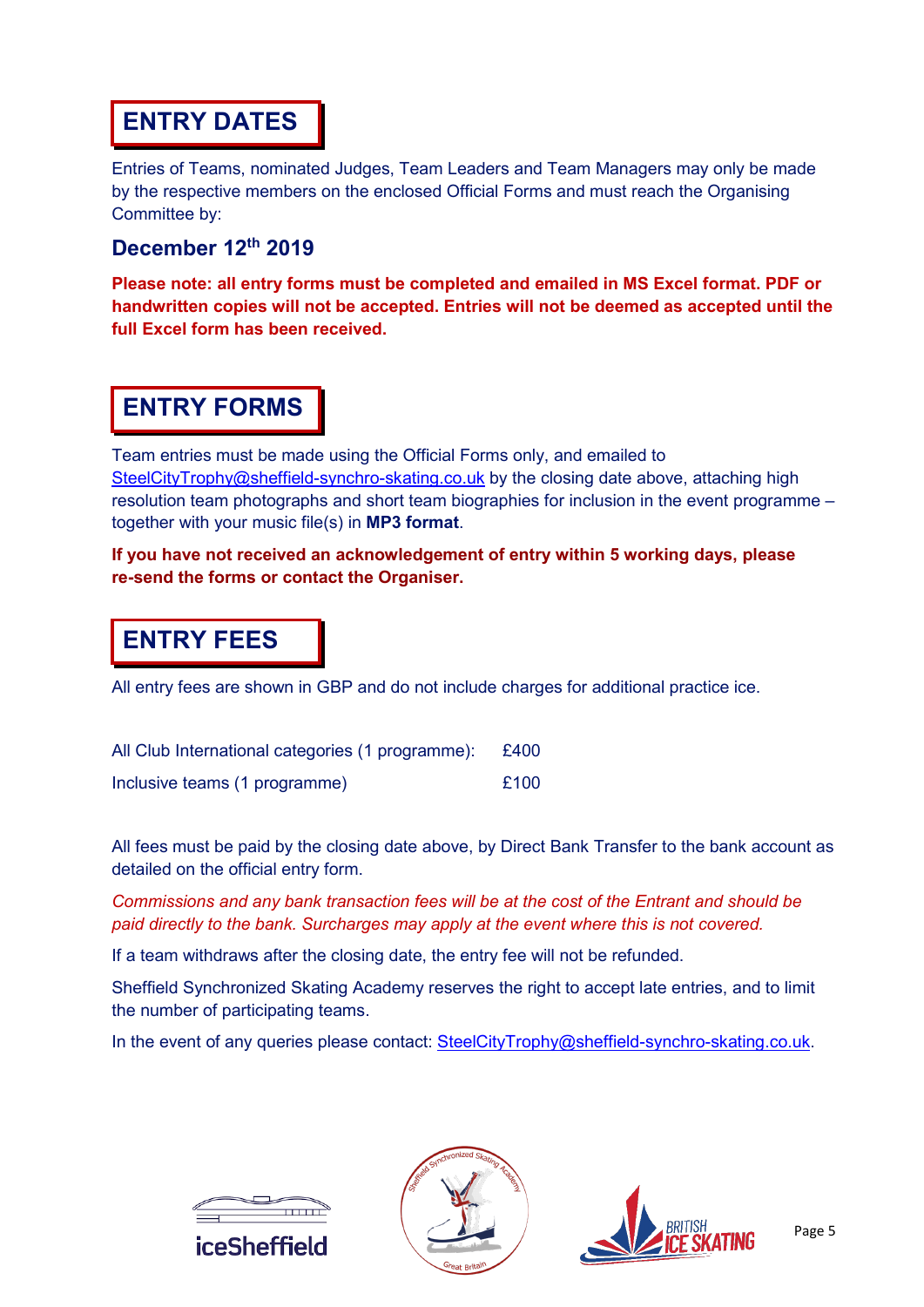#### **ENTRY DATES**

Entries of Teams, nominated Judges, Team Leaders and Team Managers may only be made by the respective members on the enclosed Official Forms and must reach the Organising Committee by:

#### **December 12th 2019**

**Please note: all entry forms must be completed and emailed in MS Excel format. PDF or handwritten copies will not be accepted. Entries will not be deemed as accepted until the full Excel form has been received.**

#### **ENTRY FORMS**

Team entries must be made using the Official Forms only, and emailed to [SteelCityTrophy@sheffield-synchro-skating.co.uk](mailto:SteelCityTrophy@sheffield-synchro-skating.co.uk) by the closing date above, attaching high resolution team photographs and short team biographies for inclusion in the event programme – together with your music file(s) in **MP3 format**.

#### **If you have not received an acknowledgement of entry within 5 working days, please re-send the forms or contact the Organiser.**

#### **ENTRY FEES**

All entry fees are shown in GBP and do not include charges for additional practice ice.

| All Club International categories (1 programme): £400 |      |
|-------------------------------------------------------|------|
| Inclusive teams (1 programme)                         | £100 |

All fees must be paid by the closing date above, by Direct Bank Transfer to the bank account as detailed on the official entry form.

*Commissions and any bank transaction fees will be at the cost of the Entrant and should be paid directly to the bank. Surcharges may apply at the event where this is not covered.*

If a team withdraws after the closing date, the entry fee will not be refunded.

Sheffield Synchronized Skating Academy reserves the right to accept late entries, and to limit the number of participating teams.

In the event of any queries please contact: [SteelCityTrophy@sheffield-synchro-skating.co.uk.](mailto:SteelCityTrophy@sheffield-synchro-skating.co.uk)





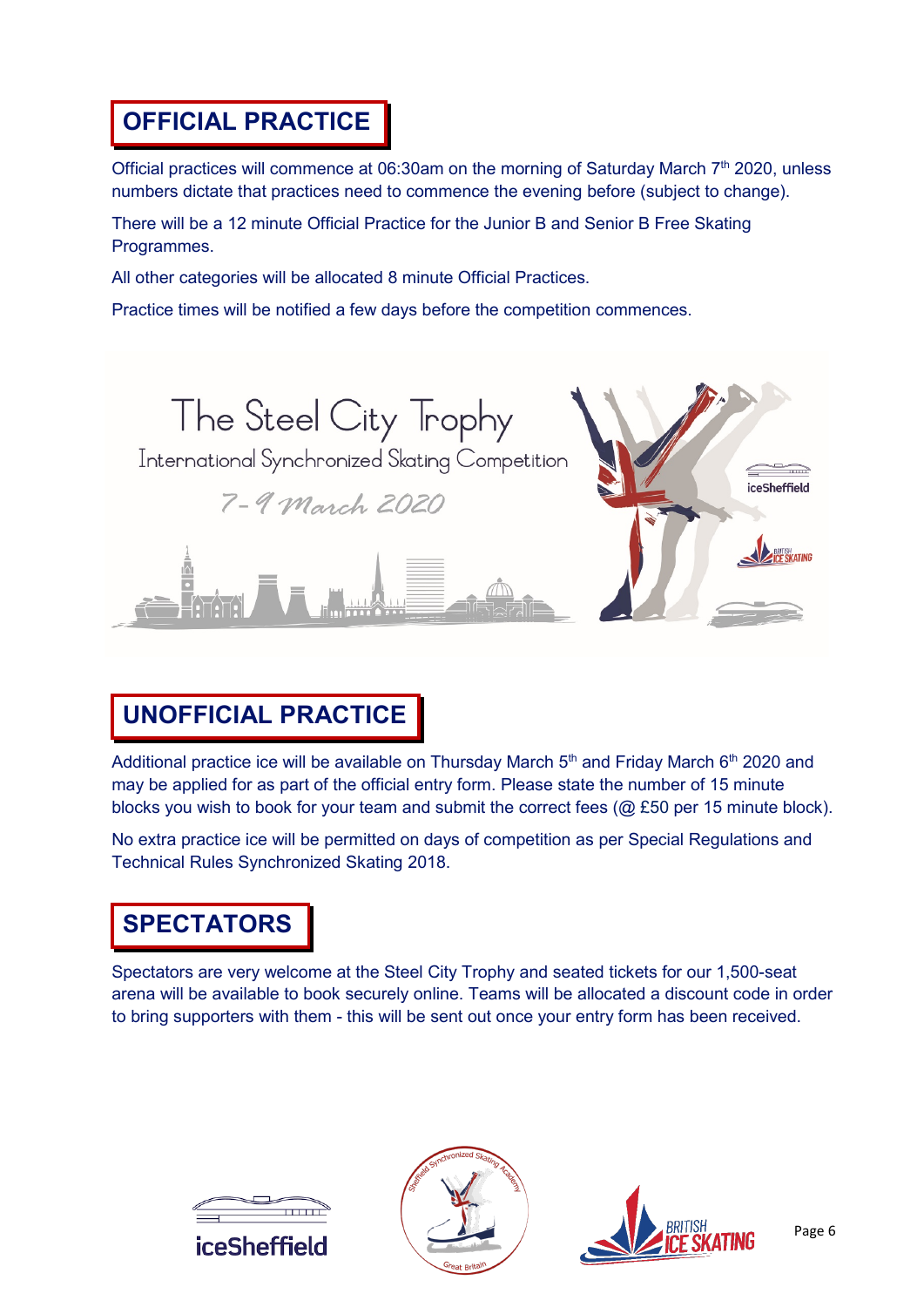#### **OFFICIAL PRACTICE**

Official practices will commence at 06:30am on the morning of Saturday March 7<sup>th</sup> 2020, unless numbers dictate that practices need to commence the evening before (subject to change).

There will be a 12 minute Official Practice for the Junior B and Senior B Free Skating Programmes.

All other categories will be allocated 8 minute Official Practices.

Practice times will be notified a few days before the competition commences.



### **UNOFFICIAL PRACTICE**

Additional practice ice will be available on Thursday March  $5<sup>th</sup>$  and Friday March  $6<sup>th</sup>$  2020 and may be applied for as part of the official entry form. Please state the number of 15 minute blocks you wish to book for your team and submit the correct fees (@ £50 per 15 minute block).

No extra practice ice will be permitted on days of competition as per Special Regulations and Technical Rules Synchronized Skating 2018.

### **SPECTATORS**

Spectators are very welcome at the Steel City Trophy and seated tickets for our 1,500-seat arena will be available to book securely online. Teams will be allocated a discount code in order to bring supporters with them - this will be sent out once your entry form has been received.





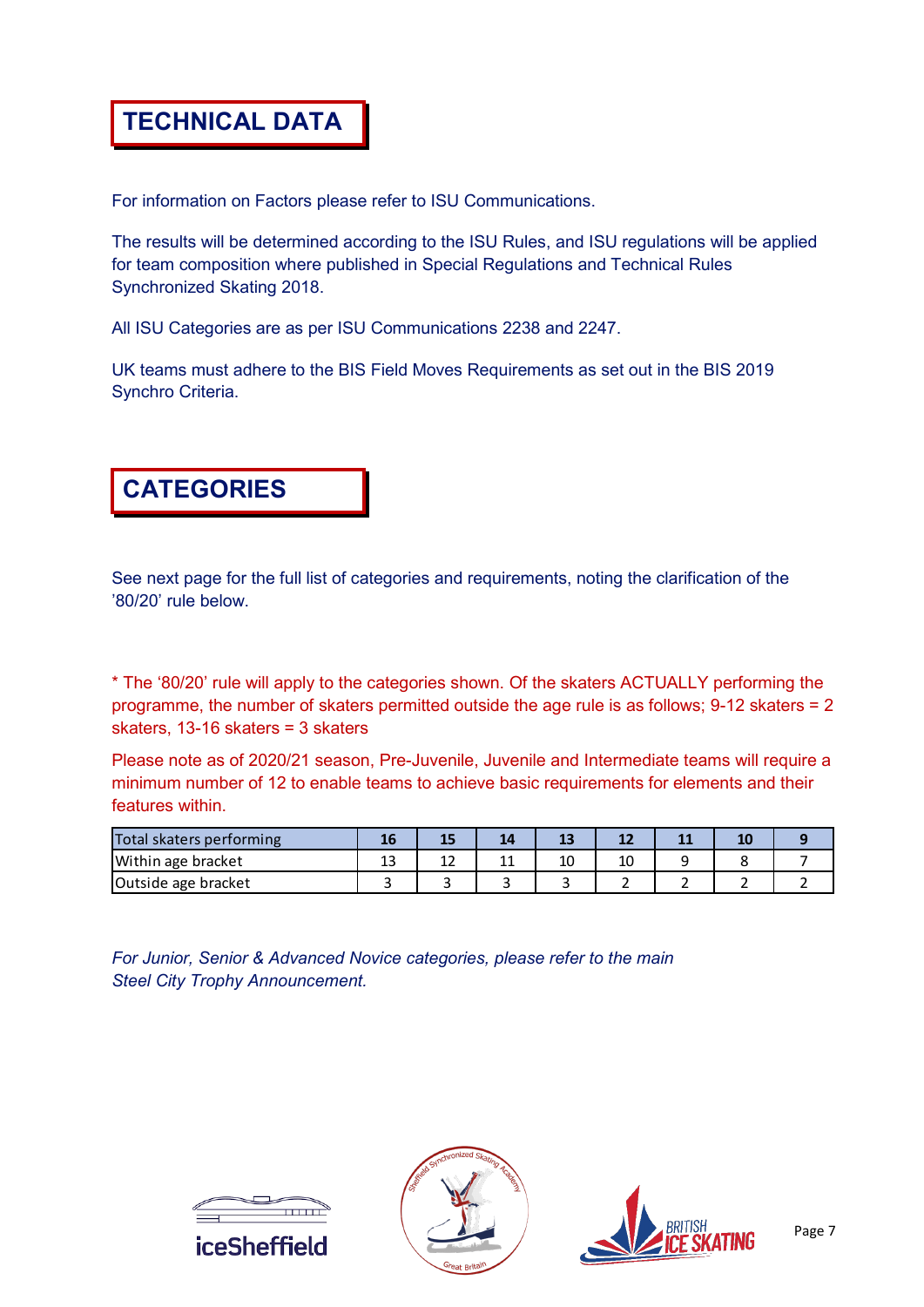#### **TECHNICAL DATA**

For information on Factors please refer to ISU Communications.

The results will be determined according to the ISU Rules, and ISU regulations will be applied for team composition where published in Special Regulations and Technical Rules Synchronized Skating 2018.

All ISU Categories are as per ISU Communications 2238 and 2247.

UK teams must adhere to the BIS Field Moves Requirements as set out in the BIS 2019 Synchro Criteria.



See next page for the full list of categories and requirements, noting the clarification of the '80/20' rule below.

\* The '80/20' rule will apply to the categories shown. Of the skaters ACTUALLY performing the programme, the number of skaters permitted outside the age rule is as follows; 9-12 skaters = 2 skaters, 13-16 skaters = 3 skaters

Please note as of 2020/21 season, Pre-Juvenile, Juvenile and Intermediate teams will require a minimum number of 12 to enable teams to achieve basic requirements for elements and their features within.

| Total skaters performing |    |   | $-1$     |    |  |  |
|--------------------------|----|---|----------|----|--|--|
| Within age bracket       | -- | ∸ | 10<br>τu | 10 |  |  |
| Outside age bracket      |    |   |          |    |  |  |

*For Junior, Senior & Advanced Novice categories, please refer to the main Steel City Trophy Announcement.*





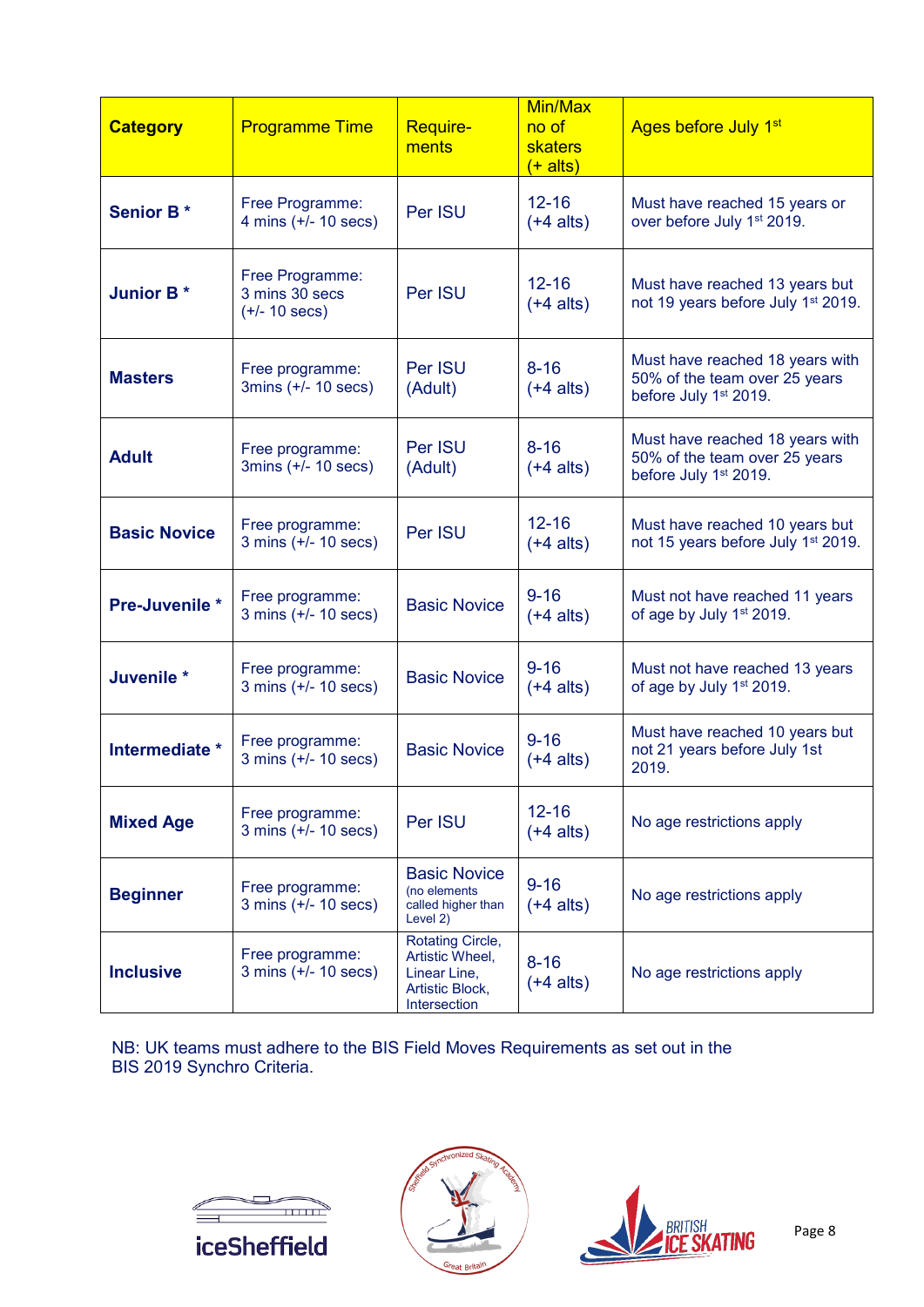| <b>Category</b>     | <b>Programme Time</b>                                        | <b>Require-</b><br>ments                                                               | Min/Max<br>no of<br><b>skaters</b><br>$(+$ alts) | Ages before July 1 <sup>st</sup>                                                          |
|---------------------|--------------------------------------------------------------|----------------------------------------------------------------------------------------|--------------------------------------------------|-------------------------------------------------------------------------------------------|
| <b>Senior B*</b>    | Free Programme:<br>4 mins $(+/- 10$ secs)                    | Per ISU                                                                                | $12 - 16$<br>$(+4$ alts)                         | Must have reached 15 years or<br>over before July 1 <sup>st</sup> 2019.                   |
| <b>Junior B*</b>    | Free Programme:<br>3 mins 30 secs<br>$(+/- 10 \text{ secs})$ | Per ISU                                                                                | $12 - 16$<br>$(+4$ alts)                         | Must have reached 13 years but<br>not 19 years before July 1 <sup>st</sup> 2019.          |
| <b>Masters</b>      | Free programme:<br>3 $mins (+/- 10 secs)$                    | Per ISU<br>(Adult)                                                                     | $8 - 16$<br>$(+4$ alts)                          | Must have reached 18 years with<br>50% of the team over 25 years<br>before July 1st 2019. |
| <b>Adult</b>        | Free programme:<br>3mins (+/- 10 secs)                       | Per ISU<br>(Adult)                                                                     | $8 - 16$<br>$(+4$ alts)                          | Must have reached 18 years with<br>50% of the team over 25 years<br>before July 1st 2019. |
| <b>Basic Novice</b> | Free programme:<br>$3 \text{ mins } (+/- 10 \text{ secs})$   | Per ISU                                                                                | $12 - 16$<br>$(+4$ alts)                         | Must have reached 10 years but<br>not 15 years before July 1 <sup>st</sup> 2019.          |
| Pre-Juvenile *      | Free programme:<br>$3 \text{ mins } (+/- 10 \text{ secs})$   | <b>Basic Novice</b>                                                                    | $9 - 16$<br>$(+4$ alts)                          | Must not have reached 11 years<br>of age by July 1st 2019.                                |
| Juvenile *          | Free programme:<br>$3 \text{ mins } (+/- 10 \text{ secs})$   | <b>Basic Novice</b>                                                                    | $9 - 16$<br>$(+4$ alts)                          | Must not have reached 13 years<br>of age by July 1 <sup>st</sup> 2019.                    |
| Intermediate *      | Free programme:<br>$3 \text{ mins } (+/- 10 \text{ secs})$   | <b>Basic Novice</b>                                                                    | $9 - 16$<br>$(+4$ alts)                          | Must have reached 10 years but<br>not 21 years before July 1st<br>2019.                   |
| <b>Mixed Age</b>    | Free programme:<br>$3 \text{ mins } (+/- 10 \text{ secs})$   | Per ISU                                                                                | $12 - 16$<br>$(+4$ alts)                         | No age restrictions apply                                                                 |
| <b>Beginner</b>     | Free programme:<br>3 mins (+/- 10 secs)                      | <b>Basic Novice</b><br>(no elements<br>called higher than<br>Level 2)                  | $9 - 16$<br>$(+4$ alts)                          | No age restrictions apply                                                                 |
| <b>Inclusive</b>    | Free programme:<br>$3 \text{ mins } (+/- 10 \text{ secs})$   | Rotating Circle,<br>Artistic Wheel,<br>Linear Line,<br>Artistic Block.<br>Intersection | $8 - 16$<br>$(+4$ alts)                          | No age restrictions apply                                                                 |

NB: UK teams must adhere to the BIS Field Moves Requirements as set out in the BIS 2019 Synchro Criteria.





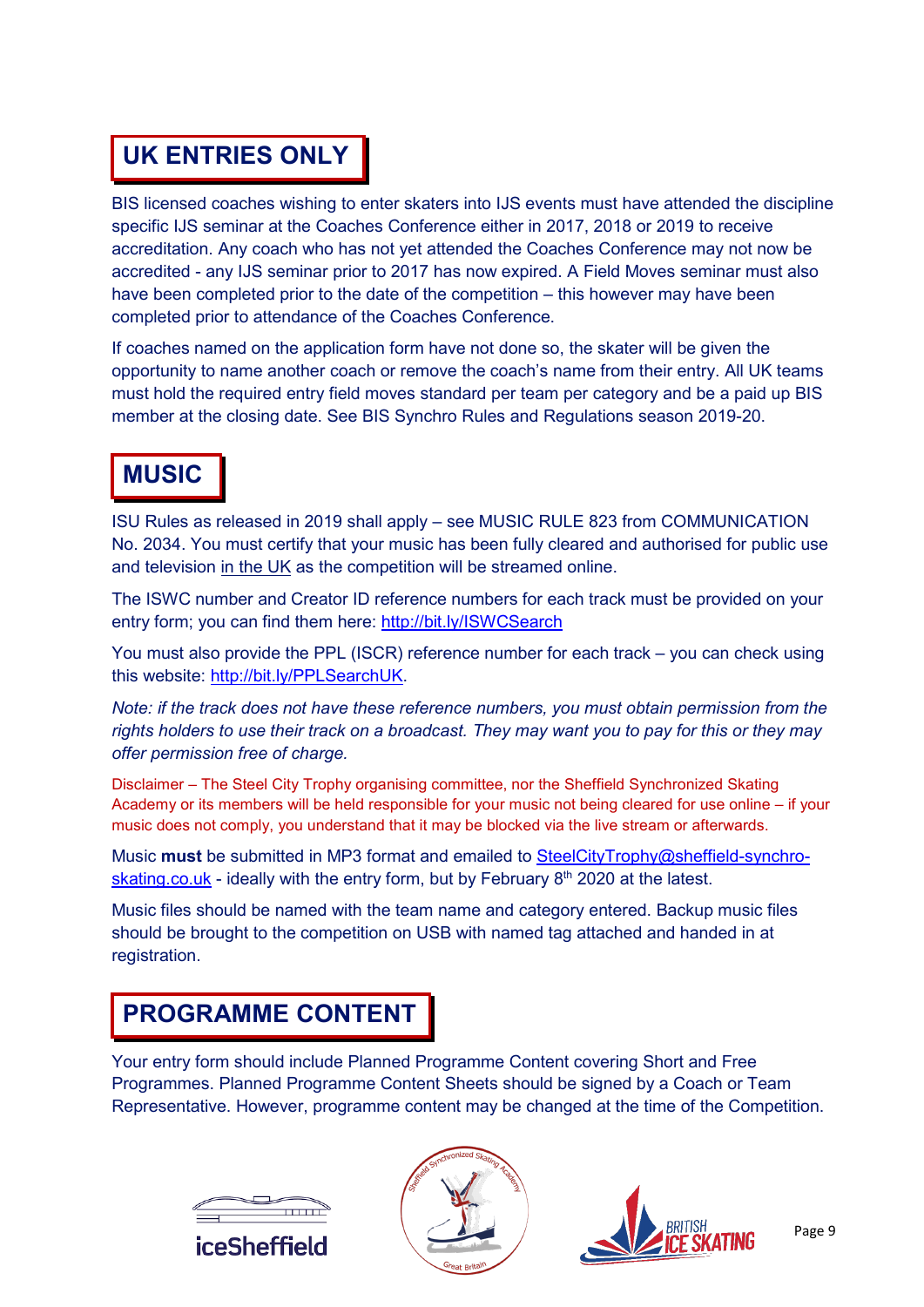## **UK ENTRIES ONLY**

BIS licensed coaches wishing to enter skaters into IJS events must have attended the discipline specific IJS seminar at the Coaches Conference either in 2017, 2018 or 2019 to receive accreditation. Any coach who has not yet attended the Coaches Conference may not now be accredited - any IJS seminar prior to 2017 has now expired. A Field Moves seminar must also have been completed prior to the date of the competition – this however may have been completed prior to attendance of the Coaches Conference.

If coaches named on the application form have not done so, the skater will be given the opportunity to name another coach or remove the coach's name from their entry. All UK teams must hold the required entry field moves standard per team per category and be a paid up BIS member at the closing date. See BIS Synchro Rules and Regulations season 2019-20.

### **MUSIC**

ISU Rules as released in 2019 shall apply – see MUSIC RULE 823 from COMMUNICATION No. 2034. You must certify that your music has been fully cleared and authorised for public use and television in the UK as the competition will be streamed online.

The ISWC number and Creator ID reference numbers for each track must be provided on your entry form; you can find them here:<http://bit.ly/ISWCSearch>

You must also provide the PPL (ISCR) reference number for each track – you can check using this website: [http://bit.ly/PPLSearchUK.](http://bit.ly/PPLSearchUK)

*Note: if the track does not have these reference numbers, you must obtain permission from the rights holders to use their track on a broadcast. They may want you to pay for this or they may offer permission free of charge.*

Disclaimer – The Steel City Trophy organising committee, nor the Sheffield Synchronized Skating Academy or its members will be held responsible for your music not being cleared for use online – if your music does not comply, you understand that it may be blocked via the live stream or afterwards.

Music **must** be submitted in MP3 format and emailed to [SteelCityTrophy@sheffield-synchro](mailto:SteelCityTrophy@sheffield-synchro-skating.co.uk)[skating.co.uk](mailto:SteelCityTrophy@sheffield-synchro-skating.co.uk) - ideally with the entry form, but by February  $8<sup>th</sup>$  2020 at the latest.

Music files should be named with the team name and category entered. Backup music files should be brought to the competition on USB with named tag attached and handed in at registration.

#### **PROGRAMME CONTENT**

Your entry form should include Planned Programme Content covering Short and Free Programmes. Planned Programme Content Sheets should be signed by a Coach or Team Representative. However, programme content may be changed at the time of the Competition.





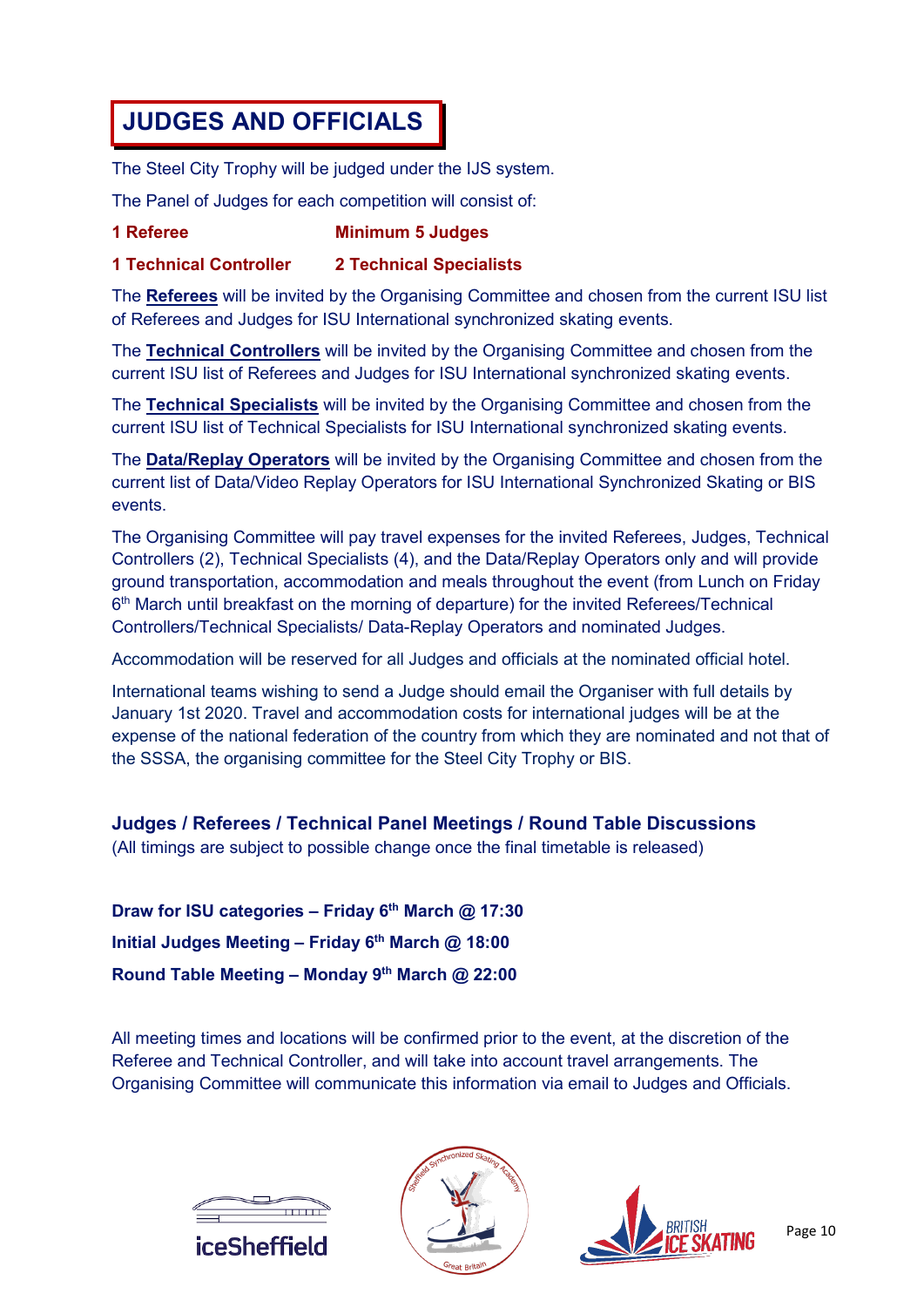### **JUDGES AND OFFICIALS**

The Steel City Trophy will be judged under the IJS system.

The Panel of Judges for each competition will consist of:

#### **1 Referee Minimum 5 Judges**

#### **1 Technical Controller 2 Technical Specialists**

The **Referees** will be invited by the Organising Committee and chosen from the current ISU list of Referees and Judges for ISU International synchronized skating events.

The **Technical Controllers** will be invited by the Organising Committee and chosen from the current ISU list of Referees and Judges for ISU International synchronized skating events.

The **Technical Specialists** will be invited by the Organising Committee and chosen from the current ISU list of Technical Specialists for ISU International synchronized skating events.

The **Data/Replay Operators** will be invited by the Organising Committee and chosen from the current list of Data/Video Replay Operators for ISU International Synchronized Skating or BIS events.

The Organising Committee will pay travel expenses for the invited Referees, Judges, Technical Controllers (2), Technical Specialists (4), and the Data/Replay Operators only and will provide ground transportation, accommodation and meals throughout the event (from Lunch on Friday 6th March until breakfast on the morning of departure) for the invited Referees/Technical Controllers/Technical Specialists/ Data-Replay Operators and nominated Judges.

Accommodation will be reserved for all Judges and officials at the nominated official hotel.

International teams wishing to send a Judge should email the Organiser with full details by January 1st 2020. Travel and accommodation costs for international judges will be at the expense of the national federation of the country from which they are nominated and not that of the SSSA, the organising committee for the Steel City Trophy or BIS.

#### **Judges / Referees / Technical Panel Meetings / Round Table Discussions**

(All timings are subject to possible change once the final timetable is released)

**Draw for ISU categories – Friday 6th March @ 17:30 Initial Judges Meeting – Friday 6th March @ 18:00 Round Table Meeting – Monday 9th March @ 22:00**

All meeting times and locations will be confirmed prior to the event, at the discretion of the Referee and Technical Controller, and will take into account travel arrangements. The Organising Committee will communicate this information via email to Judges and Officials.





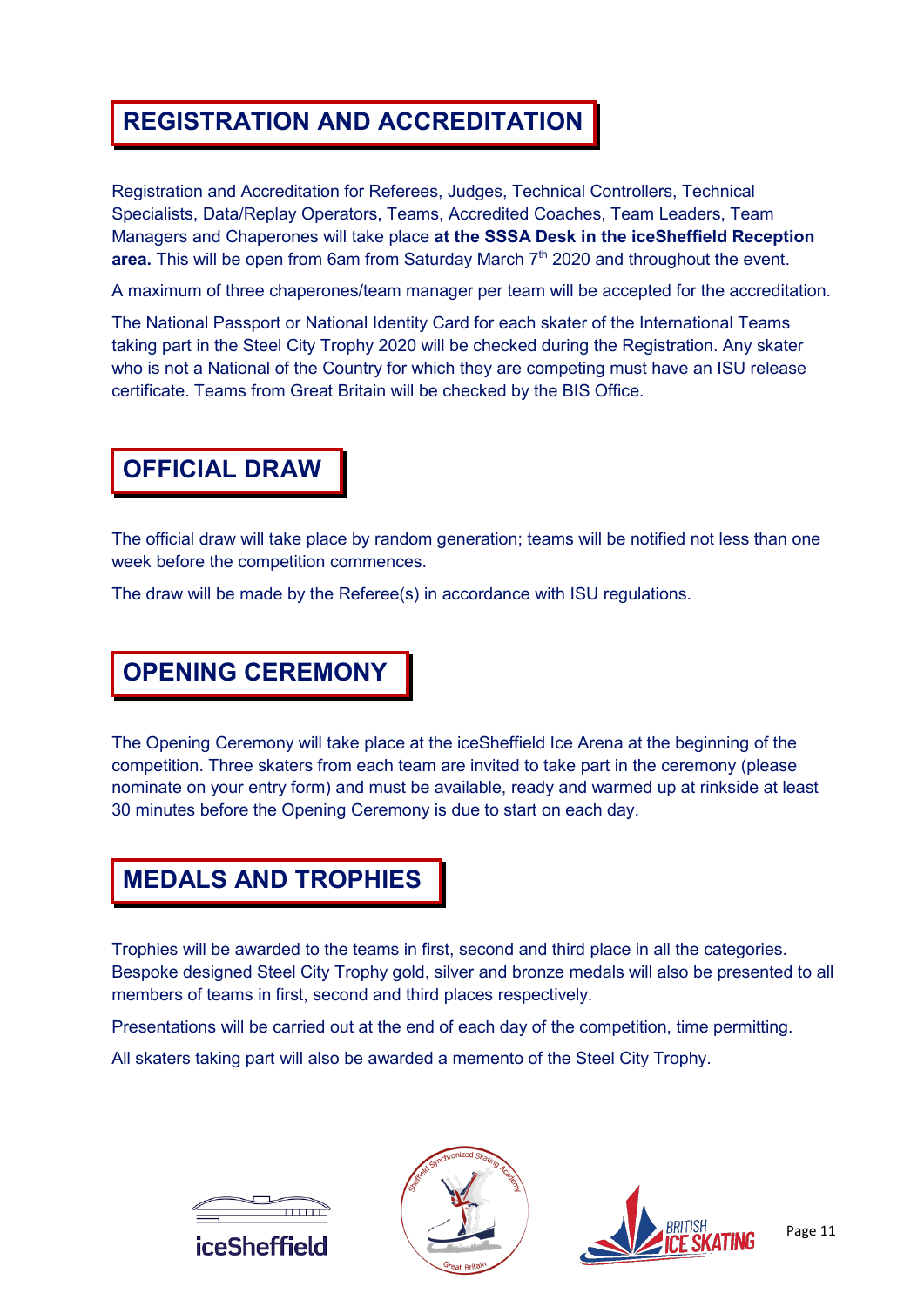#### **REGISTRATION AND ACCREDITATION**

Registration and Accreditation for Referees, Judges, Technical Controllers, Technical Specialists, Data/Replay Operators, Teams, Accredited Coaches, Team Leaders, Team Managers and Chaperones will take place **at the SSSA Desk in the iceSheffield Reception**  area. This will be open from 6am from Saturday March 7<sup>th</sup> 2020 and throughout the event.

A maximum of three chaperones/team manager per team will be accepted for the accreditation.

The National Passport or National Identity Card for each skater of the International Teams taking part in the Steel City Trophy 2020 will be checked during the Registration. Any skater who is not a National of the Country for which they are competing must have an ISU release certificate. Teams from Great Britain will be checked by the BIS Office.

#### **OFFICIAL DRAW**

The official draw will take place by random generation; teams will be notified not less than one week before the competition commences.

The draw will be made by the Referee(s) in accordance with ISU regulations.

#### **OPENING CEREMONY**

The Opening Ceremony will take place at the iceSheffield Ice Arena at the beginning of the competition. Three skaters from each team are invited to take part in the ceremony (please nominate on your entry form) and must be available, ready and warmed up at rinkside at least 30 minutes before the Opening Ceremony is due to start on each day.

#### **MEDALS AND TROPHIES**

Trophies will be awarded to the teams in first, second and third place in all the categories. Bespoke designed Steel City Trophy gold, silver and bronze medals will also be presented to all members of teams in first, second and third places respectively.

Presentations will be carried out at the end of each day of the competition, time permitting.

All skaters taking part will also be awarded a memento of the Steel City Trophy.





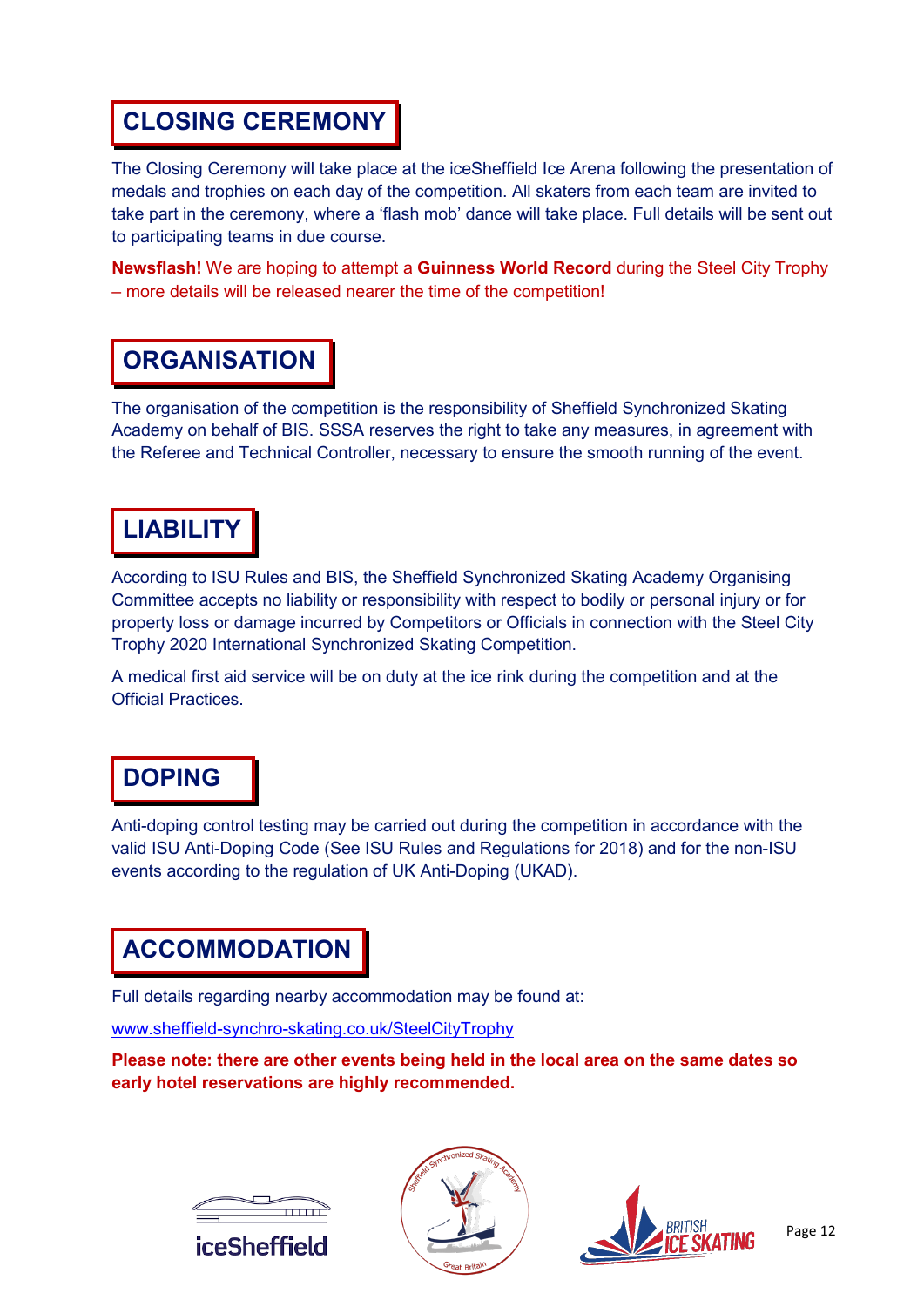### **CLOSING CEREMONY**

The Closing Ceremony will take place at the iceSheffield Ice Arena following the presentation of medals and trophies on each day of the competition. All skaters from each team are invited to take part in the ceremony, where a 'flash mob' dance will take place. Full details will be sent out to participating teams in due course.

**Newsflash!** We are hoping to attempt a **Guinness World Record** during the Steel City Trophy – more details will be released nearer the time of the competition!

### **ORGANISATION**

The organisation of the competition is the responsibility of Sheffield Synchronized Skating Academy on behalf of BIS. SSSA reserves the right to take any measures, in agreement with the Referee and Technical Controller, necessary to ensure the smooth running of the event.

### **LIABILITY**

According to ISU Rules and BIS, the Sheffield Synchronized Skating Academy Organising Committee accepts no liability or responsibility with respect to bodily or personal injury or for property loss or damage incurred by Competitors or Officials in connection with the Steel City Trophy 2020 International Synchronized Skating Competition.

A medical first aid service will be on duty at the ice rink during the competition and at the Official Practices.

#### **DOPING**

Anti-doping control testing may be carried out during the competition in accordance with the valid ISU Anti-Doping Code (See ISU Rules and Regulations for 2018) and for the non-ISU events according to the regulation of UK Anti-Doping (UKAD).

### **ACCOMMODATION**

Full details regarding nearby accommodation may be found at:

[www.sheffield-synchro-skating.co.uk/SteelCityTrophy](http://www.sheffield-synchro-skating.co.uk/SteelCityTrophy)

**Please note: there are other events being held in the local area on the same dates so early hotel reservations are highly recommended.**